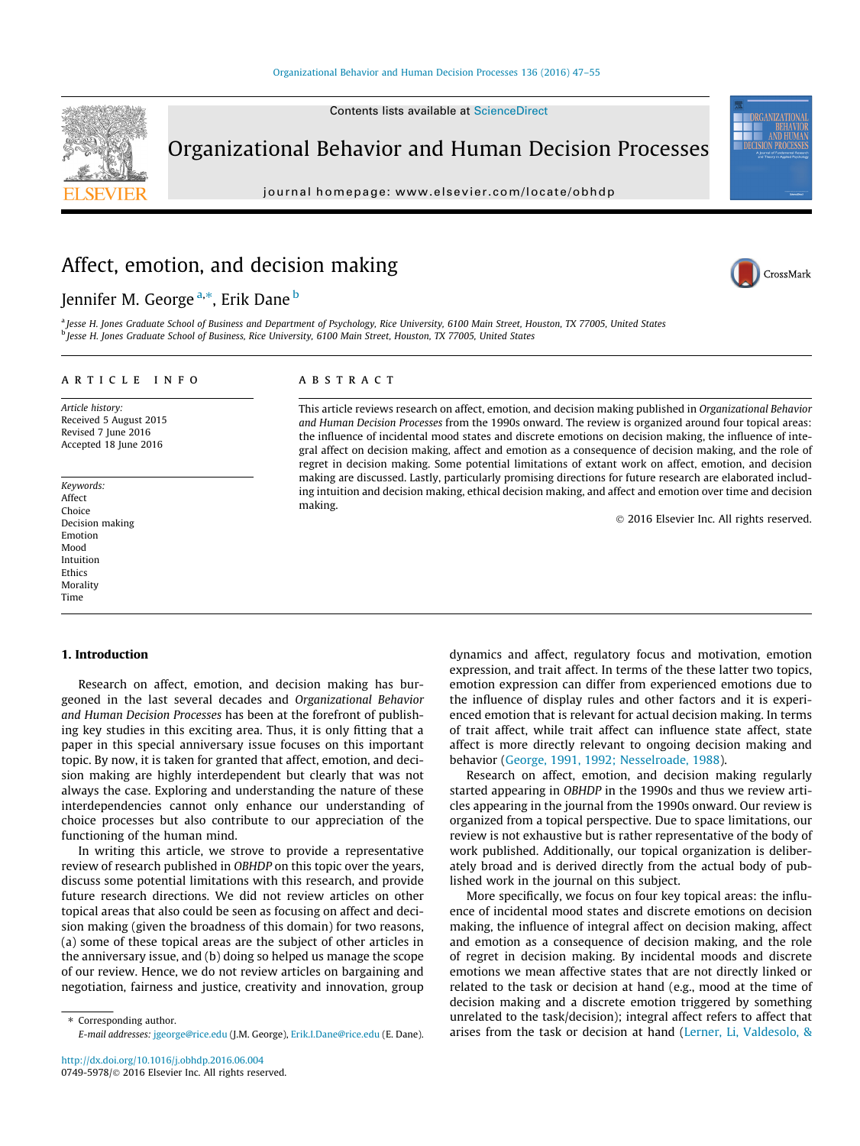Contents lists available at ScienceDirect



Organizational Behavior and Human Decision Processes

journal homepage: www.elsevier.com/locate/obhdp

# Affect, emotion, and decision making

## Jennifer M. George <sup>a,</sup>\*, Erik Dane <sup>b</sup>

a Jesse H. Jones Graduate School of Business and Department of Psychology, Rice University, 6100 Main Street, Houston, TX 77005, United States <sup>b</sup> Jesse H. Jones Graduate School of Business, Rice University, 6100 Main Street, Houston, TX 77005, United States

### article info

Article history: Received 5 August 2015 Revised 7 June 2016 Accepted 18 June 2016

Keywords: Affect Choice Decision making Emotion Mood Intuition Ethics Morality Time

#### 1. Introduction

Research on affect, emotion, and decision making has burgeoned in the last several decades and Organizational Behavior and Human Decision Processes has been at the forefront of publishing key studies in this exciting area. Thus, it is only fitting that a paper in this special anniversary issue focuses on this important topic. By now, it is taken for granted that affect, emotion, and decision making are highly interdependent but clearly that was not always the case. Exploring and understanding the nature of these interdependencies cannot only enhance our understanding of choice processes but also contribute to our appreciation of the functioning of the human mind.

In writing this article, we strove to provide a representative review of research published in OBHDP on this topic over the years, discuss some potential limitations with this research, and provide future research directions. We did not review articles on other topical areas that also could be seen as focusing on affect and decision making (given the broadness of this domain) for two reasons, (a) some of these topical areas are the subject of other articles in the anniversary issue, and (b) doing so helped us manage the scope of our review. Hence, we do not review articles on bargaining and negotiation, fairness and justice, creativity and innovation, group

⇑ Corresponding author. E-mail addresses: jgeorge@rice.edu (J.M. George), Erik.I.Dane@rice.edu (E. Dane).

### **ABSTRACT**

This article reviews research on affect, emotion, and decision making published in Organizational Behavior and Human Decision Processes from the 1990s onward. The review is organized around four topical areas: the influence of incidental mood states and discrete emotions on decision making, the influence of integral affect on decision making, affect and emotion as a consequence of decision making, and the role of regret in decision making. Some potential limitations of extant work on affect, emotion, and decision making are discussed. Lastly, particularly promising directions for future research are elaborated including intuition and decision making, ethical decision making, and affect and emotion over time and decision making.

2016 Elsevier Inc. All rights reserved.

CrossMark

dynamics and affect, regulatory focus and motivation, emotion expression, and trait affect. In terms of the these latter two topics, emotion expression can differ from experienced emotions due to the influence of display rules and other factors and it is experienced emotion that is relevant for actual decision making. In terms of trait affect, while trait affect can influence state affect, state affect is more directly relevant to ongoing decision making and behavior (George, 1991, 1992; Nesselroade, 1988).

Research on affect, emotion, and decision making regularly started appearing in OBHDP in the 1990s and thus we review articles appearing in the journal from the 1990s onward. Our review is organized from a topical perspective. Due to space limitations, our review is not exhaustive but is rather representative of the body of work published. Additionally, our topical organization is deliberately broad and is derived directly from the actual body of published work in the journal on this subject.

More specifically, we focus on four key topical areas: the influence of incidental mood states and discrete emotions on decision making, the influence of integral affect on decision making, affect and emotion as a consequence of decision making, and the role of regret in decision making. By incidental moods and discrete emotions we mean affective states that are not directly linked or related to the task or decision at hand (e.g., mood at the time of decision making and a discrete emotion triggered by something unrelated to the task/decision); integral affect refers to affect that arises from the task or decision at hand (Lerner, Li, Valdesolo, &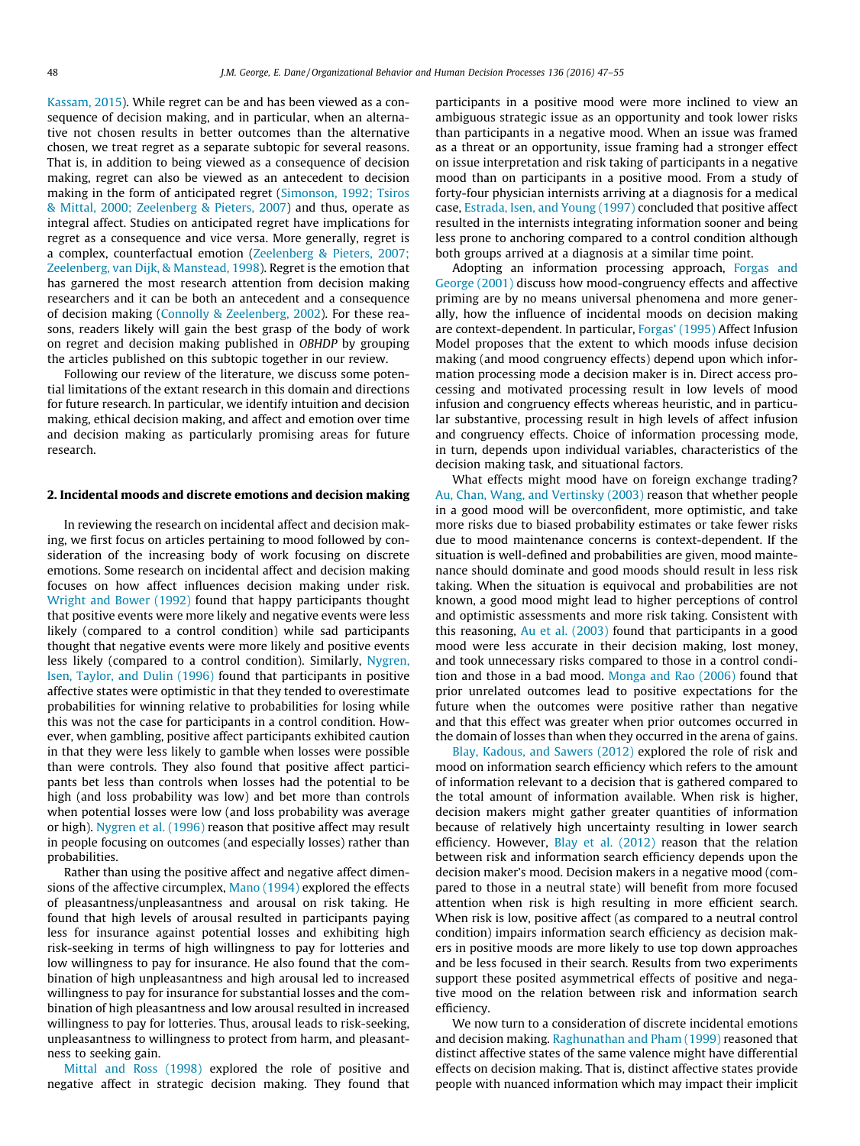Kassam, 2015). While regret can be and has been viewed as a consequence of decision making, and in particular, when an alternative not chosen results in better outcomes than the alternative chosen, we treat regret as a separate subtopic for several reasons. That is, in addition to being viewed as a consequence of decision making, regret can also be viewed as an antecedent to decision making in the form of anticipated regret (Simonson, 1992; Tsiros & Mittal, 2000; Zeelenberg & Pieters, 2007) and thus, operate as integral affect. Studies on anticipated regret have implications for regret as a consequence and vice versa. More generally, regret is a complex, counterfactual emotion (Zeelenberg & Pieters, 2007; Zeelenberg, van Dijk, & Manstead, 1998). Regret is the emotion that has garnered the most research attention from decision making researchers and it can be both an antecedent and a consequence of decision making (Connolly & Zeelenberg, 2002). For these reasons, readers likely will gain the best grasp of the body of work on regret and decision making published in OBHDP by grouping the articles published on this subtopic together in our review.

Following our review of the literature, we discuss some potential limitations of the extant research in this domain and directions for future research. In particular, we identify intuition and decision making, ethical decision making, and affect and emotion over time and decision making as particularly promising areas for future research.

#### 2. Incidental moods and discrete emotions and decision making

In reviewing the research on incidental affect and decision making, we first focus on articles pertaining to mood followed by consideration of the increasing body of work focusing on discrete emotions. Some research on incidental affect and decision making focuses on how affect influences decision making under risk. Wright and Bower (1992) found that happy participants thought that positive events were more likely and negative events were less likely (compared to a control condition) while sad participants thought that negative events were more likely and positive events less likely (compared to a control condition). Similarly, Nygren, Isen, Taylor, and Dulin (1996) found that participants in positive affective states were optimistic in that they tended to overestimate probabilities for winning relative to probabilities for losing while this was not the case for participants in a control condition. However, when gambling, positive affect participants exhibited caution in that they were less likely to gamble when losses were possible than were controls. They also found that positive affect participants bet less than controls when losses had the potential to be high (and loss probability was low) and bet more than controls when potential losses were low (and loss probability was average or high). Nygren et al. (1996) reason that positive affect may result in people focusing on outcomes (and especially losses) rather than probabilities.

Rather than using the positive affect and negative affect dimensions of the affective circumplex, Mano (1994) explored the effects of pleasantness/unpleasantness and arousal on risk taking. He found that high levels of arousal resulted in participants paying less for insurance against potential losses and exhibiting high risk-seeking in terms of high willingness to pay for lotteries and low willingness to pay for insurance. He also found that the combination of high unpleasantness and high arousal led to increased willingness to pay for insurance for substantial losses and the combination of high pleasantness and low arousal resulted in increased willingness to pay for lotteries. Thus, arousal leads to risk-seeking, unpleasantness to willingness to protect from harm, and pleasantness to seeking gain.

Mittal and Ross (1998) explored the role of positive and negative affect in strategic decision making. They found that participants in a positive mood were more inclined to view an ambiguous strategic issue as an opportunity and took lower risks than participants in a negative mood. When an issue was framed as a threat or an opportunity, issue framing had a stronger effect on issue interpretation and risk taking of participants in a negative mood than on participants in a positive mood. From a study of forty-four physician internists arriving at a diagnosis for a medical case, Estrada, Isen, and Young (1997) concluded that positive affect resulted in the internists integrating information sooner and being less prone to anchoring compared to a control condition although both groups arrived at a diagnosis at a similar time point.

Adopting an information processing approach, Forgas and George (2001) discuss how mood-congruency effects and affective priming are by no means universal phenomena and more generally, how the influence of incidental moods on decision making are context-dependent. In particular, Forgas' (1995) Affect Infusion Model proposes that the extent to which moods infuse decision making (and mood congruency effects) depend upon which information processing mode a decision maker is in. Direct access processing and motivated processing result in low levels of mood infusion and congruency effects whereas heuristic, and in particular substantive, processing result in high levels of affect infusion and congruency effects. Choice of information processing mode, in turn, depends upon individual variables, characteristics of the decision making task, and situational factors.

What effects might mood have on foreign exchange trading? Au, Chan, Wang, and Vertinsky (2003) reason that whether people in a good mood will be overconfident, more optimistic, and take more risks due to biased probability estimates or take fewer risks due to mood maintenance concerns is context-dependent. If the situation is well-defined and probabilities are given, mood maintenance should dominate and good moods should result in less risk taking. When the situation is equivocal and probabilities are not known, a good mood might lead to higher perceptions of control and optimistic assessments and more risk taking. Consistent with this reasoning, Au et al. (2003) found that participants in a good mood were less accurate in their decision making, lost money, and took unnecessary risks compared to those in a control condition and those in a bad mood. Monga and Rao (2006) found that prior unrelated outcomes lead to positive expectations for the future when the outcomes were positive rather than negative and that this effect was greater when prior outcomes occurred in the domain of losses than when they occurred in the arena of gains.

Blay, Kadous, and Sawers (2012) explored the role of risk and mood on information search efficiency which refers to the amount of information relevant to a decision that is gathered compared to the total amount of information available. When risk is higher, decision makers might gather greater quantities of information because of relatively high uncertainty resulting in lower search efficiency. However, Blay et al. (2012) reason that the relation between risk and information search efficiency depends upon the decision maker's mood. Decision makers in a negative mood (compared to those in a neutral state) will benefit from more focused attention when risk is high resulting in more efficient search. When risk is low, positive affect (as compared to a neutral control condition) impairs information search efficiency as decision makers in positive moods are more likely to use top down approaches and be less focused in their search. Results from two experiments support these posited asymmetrical effects of positive and negative mood on the relation between risk and information search efficiency.

We now turn to a consideration of discrete incidental emotions and decision making. Raghunathan and Pham (1999) reasoned that distinct affective states of the same valence might have differential effects on decision making. That is, distinct affective states provide people with nuanced information which may impact their implicit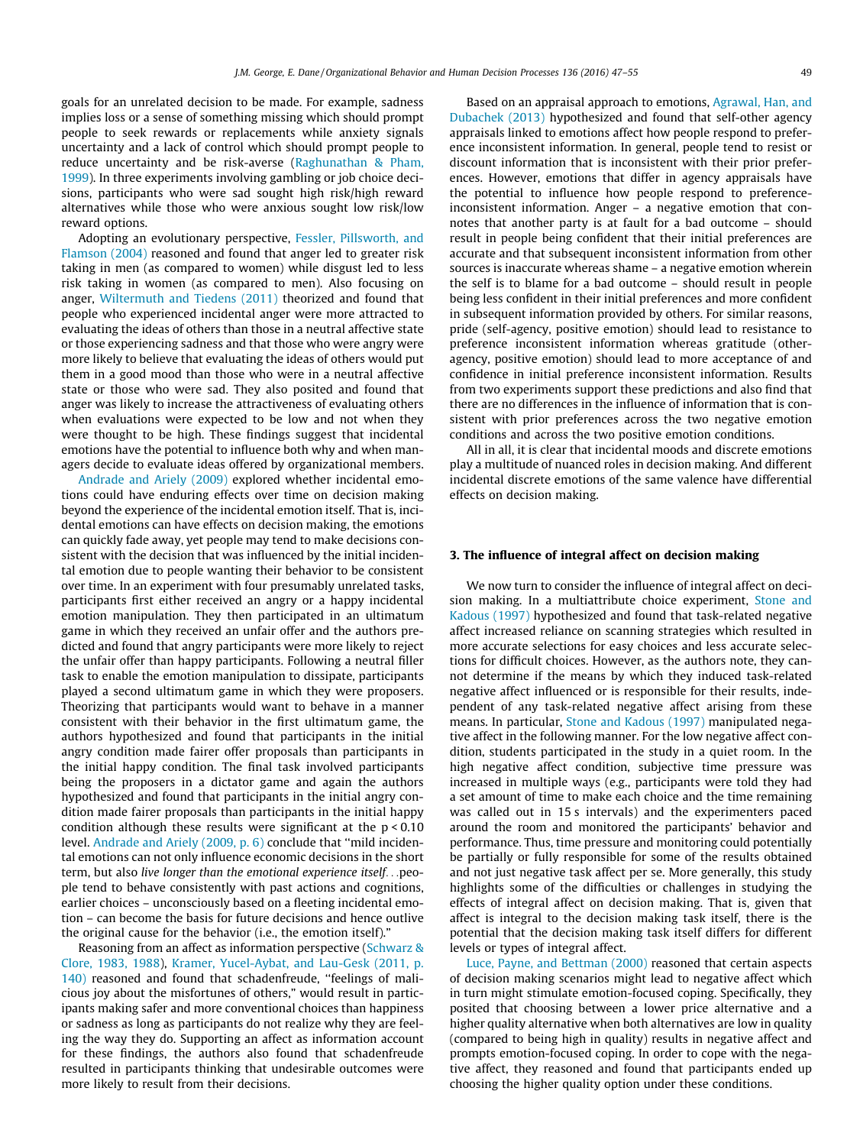goals for an unrelated decision to be made. For example, sadness implies loss or a sense of something missing which should prompt people to seek rewards or replacements while anxiety signals uncertainty and a lack of control which should prompt people to reduce uncertainty and be risk-averse (Raghunathan & Pham, 1999). In three experiments involving gambling or job choice decisions, participants who were sad sought high risk/high reward alternatives while those who were anxious sought low risk/low reward options.

Adopting an evolutionary perspective, Fessler, Pillsworth, and Flamson (2004) reasoned and found that anger led to greater risk taking in men (as compared to women) while disgust led to less risk taking in women (as compared to men). Also focusing on anger, Wiltermuth and Tiedens (2011) theorized and found that people who experienced incidental anger were more attracted to evaluating the ideas of others than those in a neutral affective state or those experiencing sadness and that those who were angry were more likely to believe that evaluating the ideas of others would put them in a good mood than those who were in a neutral affective state or those who were sad. They also posited and found that anger was likely to increase the attractiveness of evaluating others when evaluations were expected to be low and not when they were thought to be high. These findings suggest that incidental emotions have the potential to influence both why and when managers decide to evaluate ideas offered by organizational members.

Andrade and Ariely (2009) explored whether incidental emotions could have enduring effects over time on decision making beyond the experience of the incidental emotion itself. That is, incidental emotions can have effects on decision making, the emotions can quickly fade away, yet people may tend to make decisions consistent with the decision that was influenced by the initial incidental emotion due to people wanting their behavior to be consistent over time. In an experiment with four presumably unrelated tasks, participants first either received an angry or a happy incidental emotion manipulation. They then participated in an ultimatum game in which they received an unfair offer and the authors predicted and found that angry participants were more likely to reject the unfair offer than happy participants. Following a neutral filler task to enable the emotion manipulation to dissipate, participants played a second ultimatum game in which they were proposers. Theorizing that participants would want to behave in a manner consistent with their behavior in the first ultimatum game, the authors hypothesized and found that participants in the initial angry condition made fairer offer proposals than participants in the initial happy condition. The final task involved participants being the proposers in a dictator game and again the authors hypothesized and found that participants in the initial angry condition made fairer proposals than participants in the initial happy condition although these results were significant at the  $p < 0.10$ level. Andrade and Ariely (2009, p. 6) conclude that ''mild incidental emotions can not only influence economic decisions in the short term, but also live longer than the emotional experience itself...people tend to behave consistently with past actions and cognitions, earlier choices – unconsciously based on a fleeting incidental emotion – can become the basis for future decisions and hence outlive the original cause for the behavior (i.e., the emotion itself)."

Reasoning from an affect as information perspective (Schwarz & Clore, 1983, 1988), Kramer, Yucel-Aybat, and Lau-Gesk (2011, p. 140) reasoned and found that schadenfreude, "feelings of malicious joy about the misfortunes of others," would result in participants making safer and more conventional choices than happiness or sadness as long as participants do not realize why they are feeling the way they do. Supporting an affect as information account for these findings, the authors also found that schadenfreude resulted in participants thinking that undesirable outcomes were more likely to result from their decisions.

Based on an appraisal approach to emotions, Agrawal, Han, and Dubachek (2013) hypothesized and found that self-other agency appraisals linked to emotions affect how people respond to preference inconsistent information. In general, people tend to resist or discount information that is inconsistent with their prior preferences. However, emotions that differ in agency appraisals have the potential to influence how people respond to preferenceinconsistent information. Anger – a negative emotion that connotes that another party is at fault for a bad outcome – should result in people being confident that their initial preferences are accurate and that subsequent inconsistent information from other sources is inaccurate whereas shame – a negative emotion wherein the self is to blame for a bad outcome – should result in people being less confident in their initial preferences and more confident in subsequent information provided by others. For similar reasons, pride (self-agency, positive emotion) should lead to resistance to preference inconsistent information whereas gratitude (otheragency, positive emotion) should lead to more acceptance of and confidence in initial preference inconsistent information. Results from two experiments support these predictions and also find that there are no differences in the influence of information that is consistent with prior preferences across the two negative emotion conditions and across the two positive emotion conditions.

All in all, it is clear that incidental moods and discrete emotions play a multitude of nuanced roles in decision making. And different incidental discrete emotions of the same valence have differential effects on decision making.

#### 3. The influence of integral affect on decision making

We now turn to consider the influence of integral affect on decision making. In a multiattribute choice experiment, Stone and Kadous (1997) hypothesized and found that task-related negative affect increased reliance on scanning strategies which resulted in more accurate selections for easy choices and less accurate selections for difficult choices. However, as the authors note, they cannot determine if the means by which they induced task-related negative affect influenced or is responsible for their results, independent of any task-related negative affect arising from these means. In particular, Stone and Kadous (1997) manipulated negative affect in the following manner. For the low negative affect condition, students participated in the study in a quiet room. In the high negative affect condition, subjective time pressure was increased in multiple ways (e.g., participants were told they had a set amount of time to make each choice and the time remaining was called out in 15 s intervals) and the experimenters paced around the room and monitored the participants' behavior and performance. Thus, time pressure and monitoring could potentially be partially or fully responsible for some of the results obtained and not just negative task affect per se. More generally, this study highlights some of the difficulties or challenges in studying the effects of integral affect on decision making. That is, given that affect is integral to the decision making task itself, there is the potential that the decision making task itself differs for different levels or types of integral affect.

Luce, Payne, and Bettman (2000) reasoned that certain aspects of decision making scenarios might lead to negative affect which in turn might stimulate emotion-focused coping. Specifically, they posited that choosing between a lower price alternative and a higher quality alternative when both alternatives are low in quality (compared to being high in quality) results in negative affect and prompts emotion-focused coping. In order to cope with the negative affect, they reasoned and found that participants ended up choosing the higher quality option under these conditions.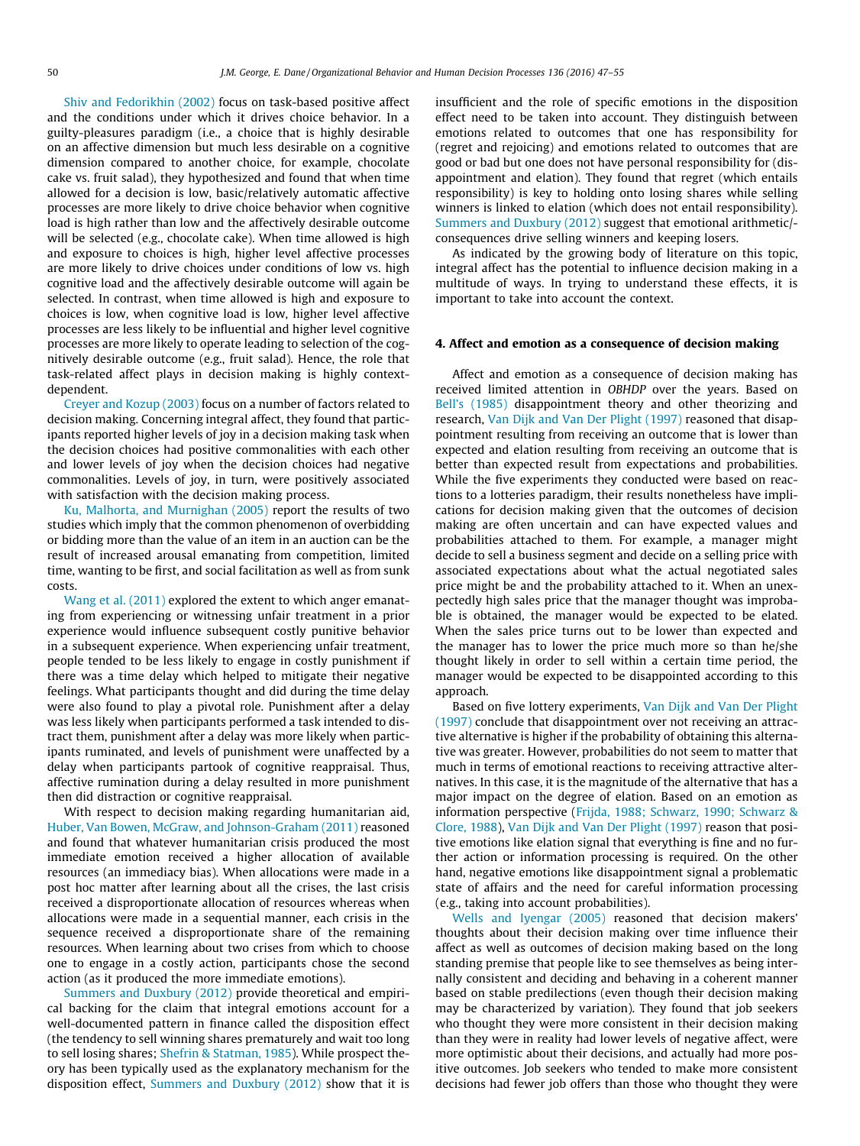Shiv and Fedorikhin (2002) focus on task-based positive affect and the conditions under which it drives choice behavior. In a guilty-pleasures paradigm (i.e., a choice that is highly desirable on an affective dimension but much less desirable on a cognitive dimension compared to another choice, for example, chocolate cake vs. fruit salad), they hypothesized and found that when time allowed for a decision is low, basic/relatively automatic affective processes are more likely to drive choice behavior when cognitive load is high rather than low and the affectively desirable outcome will be selected (e.g., chocolate cake). When time allowed is high and exposure to choices is high, higher level affective processes are more likely to drive choices under conditions of low vs. high cognitive load and the affectively desirable outcome will again be selected. In contrast, when time allowed is high and exposure to choices is low, when cognitive load is low, higher level affective processes are less likely to be influential and higher level cognitive processes are more likely to operate leading to selection of the cognitively desirable outcome (e.g., fruit salad). Hence, the role that task-related affect plays in decision making is highly contextdependent.

Creyer and Kozup (2003) focus on a number of factors related to decision making. Concerning integral affect, they found that participants reported higher levels of joy in a decision making task when the decision choices had positive commonalities with each other and lower levels of joy when the decision choices had negative commonalities. Levels of joy, in turn, were positively associated with satisfaction with the decision making process.

Ku, Malhorta, and Murnighan (2005) report the results of two studies which imply that the common phenomenon of overbidding or bidding more than the value of an item in an auction can be the result of increased arousal emanating from competition, limited time, wanting to be first, and social facilitation as well as from sunk costs.

Wang et al. (2011) explored the extent to which anger emanating from experiencing or witnessing unfair treatment in a prior experience would influence subsequent costly punitive behavior in a subsequent experience. When experiencing unfair treatment, people tended to be less likely to engage in costly punishment if there was a time delay which helped to mitigate their negative feelings. What participants thought and did during the time delay were also found to play a pivotal role. Punishment after a delay was less likely when participants performed a task intended to distract them, punishment after a delay was more likely when participants ruminated, and levels of punishment were unaffected by a delay when participants partook of cognitive reappraisal. Thus, affective rumination during a delay resulted in more punishment then did distraction or cognitive reappraisal.

With respect to decision making regarding humanitarian aid, Huber, Van Bowen, McGraw, and Johnson-Graham (2011) reasoned and found that whatever humanitarian crisis produced the most immediate emotion received a higher allocation of available resources (an immediacy bias). When allocations were made in a post hoc matter after learning about all the crises, the last crisis received a disproportionate allocation of resources whereas when allocations were made in a sequential manner, each crisis in the sequence received a disproportionate share of the remaining resources. When learning about two crises from which to choose one to engage in a costly action, participants chose the second action (as it produced the more immediate emotions).

Summers and Duxbury (2012) provide theoretical and empirical backing for the claim that integral emotions account for a well-documented pattern in finance called the disposition effect (the tendency to sell winning shares prematurely and wait too long to sell losing shares; Shefrin & Statman, 1985). While prospect theory has been typically used as the explanatory mechanism for the disposition effect, Summers and Duxbury (2012) show that it is insufficient and the role of specific emotions in the disposition effect need to be taken into account. They distinguish between emotions related to outcomes that one has responsibility for (regret and rejoicing) and emotions related to outcomes that are good or bad but one does not have personal responsibility for (disappointment and elation). They found that regret (which entails responsibility) is key to holding onto losing shares while selling winners is linked to elation (which does not entail responsibility). Summers and Duxbury (2012) suggest that emotional arithmetic/ consequences drive selling winners and keeping losers.

As indicated by the growing body of literature on this topic, integral affect has the potential to influence decision making in a multitude of ways. In trying to understand these effects, it is important to take into account the context.

#### 4. Affect and emotion as a consequence of decision making

Affect and emotion as a consequence of decision making has received limited attention in OBHDP over the years. Based on Bell's (1985) disappointment theory and other theorizing and research, Van Dijk and Van Der Plight (1997) reasoned that disappointment resulting from receiving an outcome that is lower than expected and elation resulting from receiving an outcome that is better than expected result from expectations and probabilities. While the five experiments they conducted were based on reactions to a lotteries paradigm, their results nonetheless have implications for decision making given that the outcomes of decision making are often uncertain and can have expected values and probabilities attached to them. For example, a manager might decide to sell a business segment and decide on a selling price with associated expectations about what the actual negotiated sales price might be and the probability attached to it. When an unexpectedly high sales price that the manager thought was improbable is obtained, the manager would be expected to be elated. When the sales price turns out to be lower than expected and the manager has to lower the price much more so than he/she thought likely in order to sell within a certain time period, the manager would be expected to be disappointed according to this approach.

Based on five lottery experiments, Van Dijk and Van Der Plight (1997) conclude that disappointment over not receiving an attractive alternative is higher if the probability of obtaining this alternative was greater. However, probabilities do not seem to matter that much in terms of emotional reactions to receiving attractive alternatives. In this case, it is the magnitude of the alternative that has a major impact on the degree of elation. Based on an emotion as information perspective (Frijda, 1988; Schwarz, 1990; Schwarz & Clore, 1988), Van Dijk and Van Der Plight (1997) reason that positive emotions like elation signal that everything is fine and no further action or information processing is required. On the other hand, negative emotions like disappointment signal a problematic state of affairs and the need for careful information processing (e.g., taking into account probabilities).

Wells and Iyengar (2005) reasoned that decision makers' thoughts about their decision making over time influence their affect as well as outcomes of decision making based on the long standing premise that people like to see themselves as being internally consistent and deciding and behaving in a coherent manner based on stable predilections (even though their decision making may be characterized by variation). They found that job seekers who thought they were more consistent in their decision making than they were in reality had lower levels of negative affect, were more optimistic about their decisions, and actually had more positive outcomes. Job seekers who tended to make more consistent decisions had fewer job offers than those who thought they were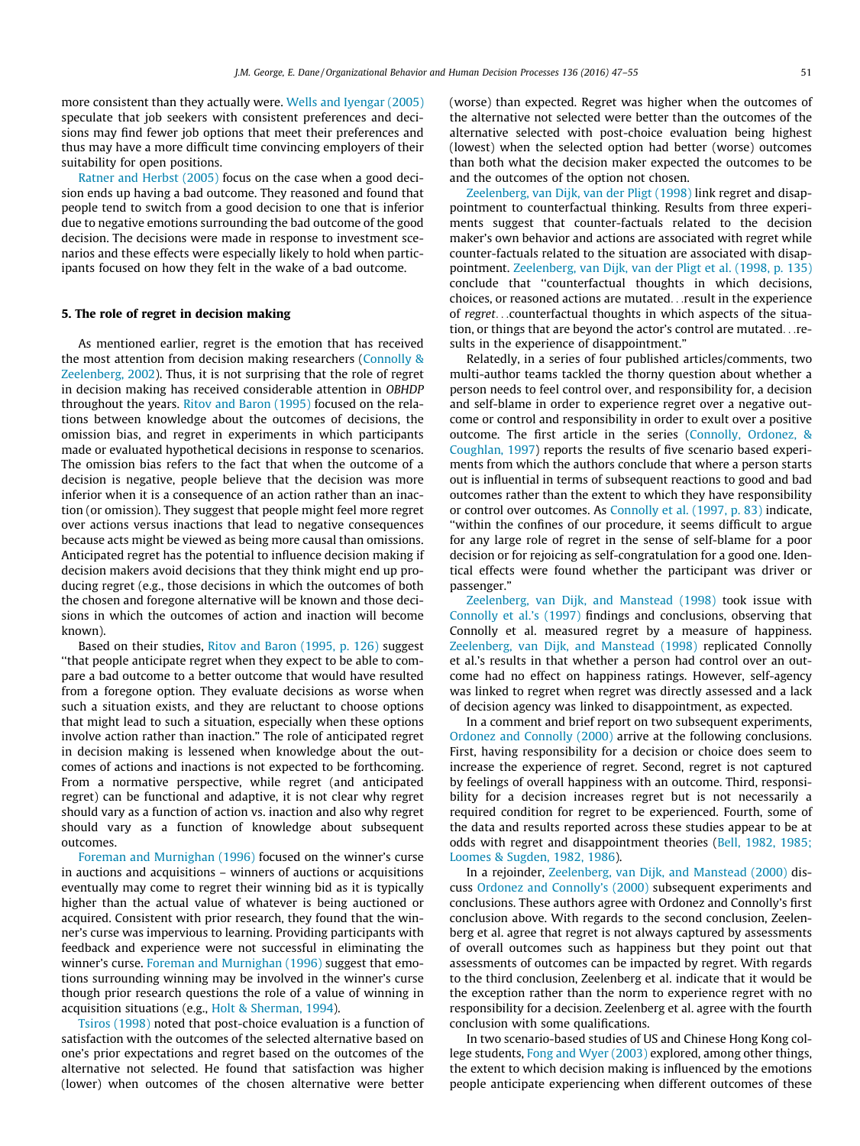more consistent than they actually were. Wells and Iyengar (2005) speculate that job seekers with consistent preferences and decisions may find fewer job options that meet their preferences and thus may have a more difficult time convincing employers of their suitability for open positions.

Ratner and Herbst (2005) focus on the case when a good decision ends up having a bad outcome. They reasoned and found that people tend to switch from a good decision to one that is inferior due to negative emotions surrounding the bad outcome of the good decision. The decisions were made in response to investment scenarios and these effects were especially likely to hold when participants focused on how they felt in the wake of a bad outcome.

#### 5. The role of regret in decision making

As mentioned earlier, regret is the emotion that has received the most attention from decision making researchers (Connolly & Zeelenberg, 2002). Thus, it is not surprising that the role of regret in decision making has received considerable attention in OBHDP throughout the years. Ritov and Baron (1995) focused on the relations between knowledge about the outcomes of decisions, the omission bias, and regret in experiments in which participants made or evaluated hypothetical decisions in response to scenarios. The omission bias refers to the fact that when the outcome of a decision is negative, people believe that the decision was more inferior when it is a consequence of an action rather than an inaction (or omission). They suggest that people might feel more regret over actions versus inactions that lead to negative consequences because acts might be viewed as being more causal than omissions. Anticipated regret has the potential to influence decision making if decision makers avoid decisions that they think might end up producing regret (e.g., those decisions in which the outcomes of both the chosen and foregone alternative will be known and those decisions in which the outcomes of action and inaction will become known).

Based on their studies, Ritov and Baron (1995, p. 126) suggest ''that people anticipate regret when they expect to be able to compare a bad outcome to a better outcome that would have resulted from a foregone option. They evaluate decisions as worse when such a situation exists, and they are reluctant to choose options that might lead to such a situation, especially when these options involve action rather than inaction." The role of anticipated regret in decision making is lessened when knowledge about the outcomes of actions and inactions is not expected to be forthcoming. From a normative perspective, while regret (and anticipated regret) can be functional and adaptive, it is not clear why regret should vary as a function of action vs. inaction and also why regret should vary as a function of knowledge about subsequent outcomes.

Foreman and Murnighan (1996) focused on the winner's curse in auctions and acquisitions – winners of auctions or acquisitions eventually may come to regret their winning bid as it is typically higher than the actual value of whatever is being auctioned or acquired. Consistent with prior research, they found that the winner's curse was impervious to learning. Providing participants with feedback and experience were not successful in eliminating the winner's curse. Foreman and Murnighan (1996) suggest that emotions surrounding winning may be involved in the winner's curse though prior research questions the role of a value of winning in acquisition situations (e.g., Holt & Sherman, 1994).

Tsiros (1998) noted that post-choice evaluation is a function of satisfaction with the outcomes of the selected alternative based on one's prior expectations and regret based on the outcomes of the alternative not selected. He found that satisfaction was higher (lower) when outcomes of the chosen alternative were better

(worse) than expected. Regret was higher when the outcomes of the alternative not selected were better than the outcomes of the alternative selected with post-choice evaluation being highest (lowest) when the selected option had better (worse) outcomes than both what the decision maker expected the outcomes to be and the outcomes of the option not chosen.

Zeelenberg, van Dijk, van der Pligt (1998) link regret and disappointment to counterfactual thinking. Results from three experiments suggest that counter-factuals related to the decision maker's own behavior and actions are associated with regret while counter-factuals related to the situation are associated with disappointment. Zeelenberg, van Dijk, van der Pligt et al. (1998, p. 135) conclude that ''counterfactual thoughts in which decisions, choices, or reasoned actions are mutated...result in the experience of regret...counterfactual thoughts in which aspects of the situation, or things that are beyond the actor's control are mutated...results in the experience of disappointment."

Relatedly, in a series of four published articles/comments, two multi-author teams tackled the thorny question about whether a person needs to feel control over, and responsibility for, a decision and self-blame in order to experience regret over a negative outcome or control and responsibility in order to exult over a positive outcome. The first article in the series (Connolly, Ordonez, & Coughlan, 1997) reports the results of five scenario based experiments from which the authors conclude that where a person starts out is influential in terms of subsequent reactions to good and bad outcomes rather than the extent to which they have responsibility or control over outcomes. As Connolly et al. (1997, p. 83) indicate, ''within the confines of our procedure, it seems difficult to argue for any large role of regret in the sense of self-blame for a poor decision or for rejoicing as self-congratulation for a good one. Identical effects were found whether the participant was driver or passenger."

Zeelenberg, van Dijk, and Manstead (1998) took issue with Connolly et al.'s (1997) findings and conclusions, observing that Connolly et al. measured regret by a measure of happiness. Zeelenberg, van Dijk, and Manstead (1998) replicated Connolly et al.'s results in that whether a person had control over an outcome had no effect on happiness ratings. However, self-agency was linked to regret when regret was directly assessed and a lack of decision agency was linked to disappointment, as expected.

In a comment and brief report on two subsequent experiments, Ordonez and Connolly (2000) arrive at the following conclusions. First, having responsibility for a decision or choice does seem to increase the experience of regret. Second, regret is not captured by feelings of overall happiness with an outcome. Third, responsibility for a decision increases regret but is not necessarily a required condition for regret to be experienced. Fourth, some of the data and results reported across these studies appear to be at odds with regret and disappointment theories (Bell, 1982, 1985; Loomes & Sugden, 1982, 1986).

In a rejoinder, Zeelenberg, van Dijk, and Manstead (2000) discuss Ordonez and Connolly's (2000) subsequent experiments and conclusions. These authors agree with Ordonez and Connolly's first conclusion above. With regards to the second conclusion, Zeelenberg et al. agree that regret is not always captured by assessments of overall outcomes such as happiness but they point out that assessments of outcomes can be impacted by regret. With regards to the third conclusion, Zeelenberg et al. indicate that it would be the exception rather than the norm to experience regret with no responsibility for a decision. Zeelenberg et al. agree with the fourth conclusion with some qualifications.

In two scenario-based studies of US and Chinese Hong Kong college students, Fong and Wyer (2003) explored, among other things, the extent to which decision making is influenced by the emotions people anticipate experiencing when different outcomes of these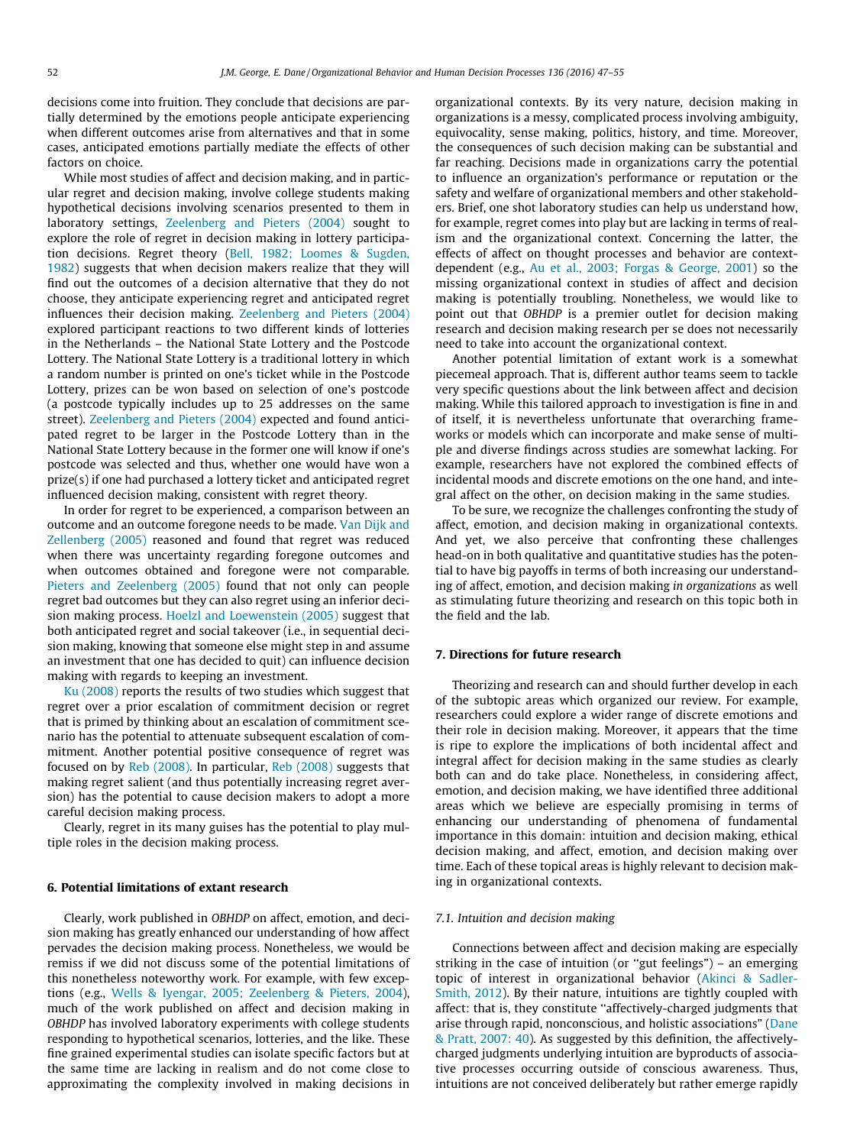decisions come into fruition. They conclude that decisions are partially determined by the emotions people anticipate experiencing when different outcomes arise from alternatives and that in some cases, anticipated emotions partially mediate the effects of other factors on choice.

While most studies of affect and decision making, and in particular regret and decision making, involve college students making hypothetical decisions involving scenarios presented to them in laboratory settings, Zeelenberg and Pieters (2004) sought to explore the role of regret in decision making in lottery participation decisions. Regret theory (Bell, 1982; Loomes & Sugden, 1982) suggests that when decision makers realize that they will find out the outcomes of a decision alternative that they do not choose, they anticipate experiencing regret and anticipated regret influences their decision making. Zeelenberg and Pieters (2004) explored participant reactions to two different kinds of lotteries in the Netherlands – the National State Lottery and the Postcode Lottery. The National State Lottery is a traditional lottery in which a random number is printed on one's ticket while in the Postcode Lottery, prizes can be won based on selection of one's postcode (a postcode typically includes up to 25 addresses on the same street). Zeelenberg and Pieters (2004) expected and found anticipated regret to be larger in the Postcode Lottery than in the National State Lottery because in the former one will know if one's postcode was selected and thus, whether one would have won a prize(s) if one had purchased a lottery ticket and anticipated regret influenced decision making, consistent with regret theory.

In order for regret to be experienced, a comparison between an outcome and an outcome foregone needs to be made. Van Dijk and Zellenberg (2005) reasoned and found that regret was reduced when there was uncertainty regarding foregone outcomes and when outcomes obtained and foregone were not comparable. Pieters and Zeelenberg (2005) found that not only can people regret bad outcomes but they can also regret using an inferior decision making process. Hoelzl and Loewenstein (2005) suggest that both anticipated regret and social takeover (i.e., in sequential decision making, knowing that someone else might step in and assume an investment that one has decided to quit) can influence decision making with regards to keeping an investment.

Ku (2008) reports the results of two studies which suggest that regret over a prior escalation of commitment decision or regret that is primed by thinking about an escalation of commitment scenario has the potential to attenuate subsequent escalation of commitment. Another potential positive consequence of regret was focused on by Reb (2008). In particular, Reb (2008) suggests that making regret salient (and thus potentially increasing regret aversion) has the potential to cause decision makers to adopt a more careful decision making process.

Clearly, regret in its many guises has the potential to play multiple roles in the decision making process.

#### 6. Potential limitations of extant research

Clearly, work published in OBHDP on affect, emotion, and decision making has greatly enhanced our understanding of how affect pervades the decision making process. Nonetheless, we would be remiss if we did not discuss some of the potential limitations of this nonetheless noteworthy work. For example, with few exceptions (e.g., Wells & Iyengar, 2005; Zeelenberg & Pieters, 2004), much of the work published on affect and decision making in OBHDP has involved laboratory experiments with college students responding to hypothetical scenarios, lotteries, and the like. These fine grained experimental studies can isolate specific factors but at the same time are lacking in realism and do not come close to approximating the complexity involved in making decisions in organizational contexts. By its very nature, decision making in organizations is a messy, complicated process involving ambiguity, equivocality, sense making, politics, history, and time. Moreover, the consequences of such decision making can be substantial and far reaching. Decisions made in organizations carry the potential to influence an organization's performance or reputation or the safety and welfare of organizational members and other stakeholders. Brief, one shot laboratory studies can help us understand how, for example, regret comes into play but are lacking in terms of realism and the organizational context. Concerning the latter, the effects of affect on thought processes and behavior are contextdependent (e.g., Au et al., 2003; Forgas & George, 2001) so the missing organizational context in studies of affect and decision making is potentially troubling. Nonetheless, we would like to point out that OBHDP is a premier outlet for decision making research and decision making research per se does not necessarily need to take into account the organizational context.

Another potential limitation of extant work is a somewhat piecemeal approach. That is, different author teams seem to tackle very specific questions about the link between affect and decision making. While this tailored approach to investigation is fine in and of itself, it is nevertheless unfortunate that overarching frameworks or models which can incorporate and make sense of multiple and diverse findings across studies are somewhat lacking. For example, researchers have not explored the combined effects of incidental moods and discrete emotions on the one hand, and integral affect on the other, on decision making in the same studies.

To be sure, we recognize the challenges confronting the study of affect, emotion, and decision making in organizational contexts. And yet, we also perceive that confronting these challenges head-on in both qualitative and quantitative studies has the potential to have big payoffs in terms of both increasing our understanding of affect, emotion, and decision making in organizations as well as stimulating future theorizing and research on this topic both in the field and the lab.

#### 7. Directions for future research

Theorizing and research can and should further develop in each of the subtopic areas which organized our review. For example, researchers could explore a wider range of discrete emotions and their role in decision making. Moreover, it appears that the time is ripe to explore the implications of both incidental affect and integral affect for decision making in the same studies as clearly both can and do take place. Nonetheless, in considering affect, emotion, and decision making, we have identified three additional areas which we believe are especially promising in terms of enhancing our understanding of phenomena of fundamental importance in this domain: intuition and decision making, ethical decision making, and affect, emotion, and decision making over time. Each of these topical areas is highly relevant to decision making in organizational contexts.

#### 7.1. Intuition and decision making

Connections between affect and decision making are especially striking in the case of intuition (or ''gut feelings") – an emerging topic of interest in organizational behavior (Akinci & Sadler-Smith, 2012). By their nature, intuitions are tightly coupled with affect: that is, they constitute ''affectively-charged judgments that arise through rapid, nonconscious, and holistic associations" (Dane & Pratt, 2007: 40). As suggested by this definition, the affectivelycharged judgments underlying intuition are byproducts of associative processes occurring outside of conscious awareness. Thus, intuitions are not conceived deliberately but rather emerge rapidly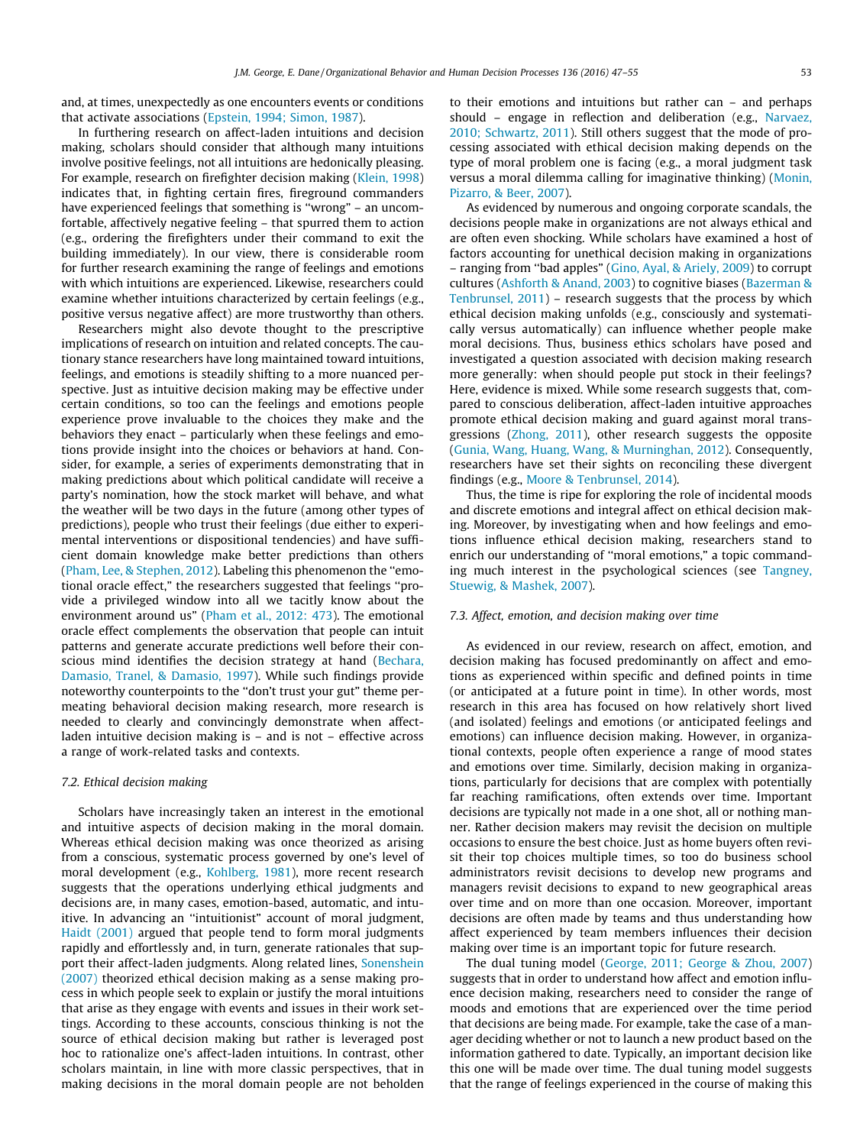and, at times, unexpectedly as one encounters events or conditions that activate associations (Epstein, 1994; Simon, 1987).

In furthering research on affect-laden intuitions and decision making, scholars should consider that although many intuitions involve positive feelings, not all intuitions are hedonically pleasing. For example, research on firefighter decision making (Klein, 1998) indicates that, in fighting certain fires, fireground commanders have experienced feelings that something is ''wrong" – an uncomfortable, affectively negative feeling – that spurred them to action (e.g., ordering the firefighters under their command to exit the building immediately). In our view, there is considerable room for further research examining the range of feelings and emotions with which intuitions are experienced. Likewise, researchers could examine whether intuitions characterized by certain feelings (e.g., positive versus negative affect) are more trustworthy than others.

Researchers might also devote thought to the prescriptive implications of research on intuition and related concepts. The cautionary stance researchers have long maintained toward intuitions, feelings, and emotions is steadily shifting to a more nuanced perspective. Just as intuitive decision making may be effective under certain conditions, so too can the feelings and emotions people experience prove invaluable to the choices they make and the behaviors they enact – particularly when these feelings and emotions provide insight into the choices or behaviors at hand. Consider, for example, a series of experiments demonstrating that in making predictions about which political candidate will receive a party's nomination, how the stock market will behave, and what the weather will be two days in the future (among other types of predictions), people who trust their feelings (due either to experimental interventions or dispositional tendencies) and have sufficient domain knowledge make better predictions than others (Pham, Lee, & Stephen, 2012). Labeling this phenomenon the ''emotional oracle effect," the researchers suggested that feelings ''provide a privileged window into all we tacitly know about the environment around us" (Pham et al., 2012: 473). The emotional oracle effect complements the observation that people can intuit patterns and generate accurate predictions well before their conscious mind identifies the decision strategy at hand (Bechara, Damasio, Tranel, & Damasio, 1997). While such findings provide noteworthy counterpoints to the ''don't trust your gut" theme permeating behavioral decision making research, more research is needed to clearly and convincingly demonstrate when affectladen intuitive decision making is – and is not – effective across a range of work-related tasks and contexts.

#### 7.2. Ethical decision making

Scholars have increasingly taken an interest in the emotional and intuitive aspects of decision making in the moral domain. Whereas ethical decision making was once theorized as arising from a conscious, systematic process governed by one's level of moral development (e.g., Kohlberg, 1981), more recent research suggests that the operations underlying ethical judgments and decisions are, in many cases, emotion-based, automatic, and intuitive. In advancing an ''intuitionist" account of moral judgment, Haidt (2001) argued that people tend to form moral judgments rapidly and effortlessly and, in turn, generate rationales that support their affect-laden judgments. Along related lines, Sonenshein (2007) theorized ethical decision making as a sense making process in which people seek to explain or justify the moral intuitions that arise as they engage with events and issues in their work settings. According to these accounts, conscious thinking is not the source of ethical decision making but rather is leveraged post hoc to rationalize one's affect-laden intuitions. In contrast, other scholars maintain, in line with more classic perspectives, that in making decisions in the moral domain people are not beholden to their emotions and intuitions but rather can – and perhaps should – engage in reflection and deliberation (e.g., Narvaez, 2010; Schwartz, 2011). Still others suggest that the mode of processing associated with ethical decision making depends on the type of moral problem one is facing (e.g., a moral judgment task versus a moral dilemma calling for imaginative thinking) (Monin, Pizarro, & Beer, 2007).

As evidenced by numerous and ongoing corporate scandals, the decisions people make in organizations are not always ethical and are often even shocking. While scholars have examined a host of factors accounting for unethical decision making in organizations – ranging from ''bad apples" (Gino, Ayal, & Ariely, 2009) to corrupt cultures (Ashforth & Anand, 2003) to cognitive biases (Bazerman & Tenbrunsel, 2011) – research suggests that the process by which ethical decision making unfolds (e.g., consciously and systematically versus automatically) can influence whether people make moral decisions. Thus, business ethics scholars have posed and investigated a question associated with decision making research more generally: when should people put stock in their feelings? Here, evidence is mixed. While some research suggests that, compared to conscious deliberation, affect-laden intuitive approaches promote ethical decision making and guard against moral transgressions (Zhong, 2011), other research suggests the opposite (Gunia, Wang, Huang, Wang, & Murninghan, 2012). Consequently, researchers have set their sights on reconciling these divergent findings (e.g., Moore & Tenbrunsel, 2014).

Thus, the time is ripe for exploring the role of incidental moods and discrete emotions and integral affect on ethical decision making. Moreover, by investigating when and how feelings and emotions influence ethical decision making, researchers stand to enrich our understanding of ''moral emotions," a topic commanding much interest in the psychological sciences (see Tangney, Stuewig, & Mashek, 2007).

#### 7.3. Affect, emotion, and decision making over time

As evidenced in our review, research on affect, emotion, and decision making has focused predominantly on affect and emotions as experienced within specific and defined points in time (or anticipated at a future point in time). In other words, most research in this area has focused on how relatively short lived (and isolated) feelings and emotions (or anticipated feelings and emotions) can influence decision making. However, in organizational contexts, people often experience a range of mood states and emotions over time. Similarly, decision making in organizations, particularly for decisions that are complex with potentially far reaching ramifications, often extends over time. Important decisions are typically not made in a one shot, all or nothing manner. Rather decision makers may revisit the decision on multiple occasions to ensure the best choice. Just as home buyers often revisit their top choices multiple times, so too do business school administrators revisit decisions to develop new programs and managers revisit decisions to expand to new geographical areas over time and on more than one occasion. Moreover, important decisions are often made by teams and thus understanding how affect experienced by team members influences their decision making over time is an important topic for future research.

The dual tuning model (George, 2011; George & Zhou, 2007) suggests that in order to understand how affect and emotion influence decision making, researchers need to consider the range of moods and emotions that are experienced over the time period that decisions are being made. For example, take the case of a manager deciding whether or not to launch a new product based on the information gathered to date. Typically, an important decision like this one will be made over time. The dual tuning model suggests that the range of feelings experienced in the course of making this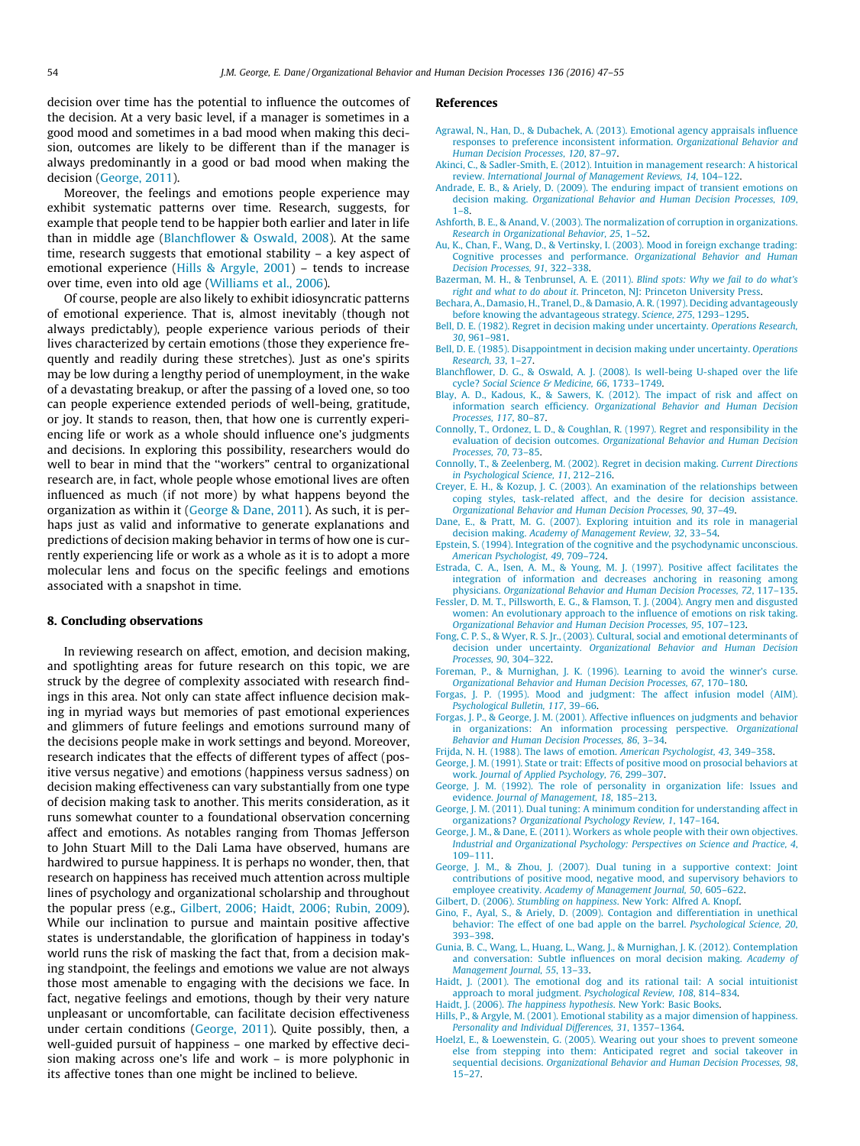decision over time has the potential to influence the outcomes of the decision. At a very basic level, if a manager is sometimes in a good mood and sometimes in a bad mood when making this decision, outcomes are likely to be different than if the manager is always predominantly in a good or bad mood when making the decision (George, 2011).

Moreover, the feelings and emotions people experience may exhibit systematic patterns over time. Research, suggests, for example that people tend to be happier both earlier and later in life than in middle age (Blanchflower & Oswald, 2008). At the same time, research suggests that emotional stability – a key aspect of emotional experience (Hills & Argyle, 2001) – tends to increase over time, even into old age (Williams et al., 2006).

Of course, people are also likely to exhibit idiosyncratic patterns of emotional experience. That is, almost inevitably (though not always predictably), people experience various periods of their lives characterized by certain emotions (those they experience frequently and readily during these stretches). Just as one's spirits may be low during a lengthy period of unemployment, in the wake of a devastating breakup, or after the passing of a loved one, so too can people experience extended periods of well-being, gratitude, or joy. It stands to reason, then, that how one is currently experiencing life or work as a whole should influence one's judgments and decisions. In exploring this possibility, researchers would do well to bear in mind that the ''workers" central to organizational research are, in fact, whole people whose emotional lives are often influenced as much (if not more) by what happens beyond the organization as within it (George & Dane, 2011). As such, it is perhaps just as valid and informative to generate explanations and predictions of decision making behavior in terms of how one is currently experiencing life or work as a whole as it is to adopt a more molecular lens and focus on the specific feelings and emotions associated with a snapshot in time.

#### 8. Concluding observations

In reviewing research on affect, emotion, and decision making, and spotlighting areas for future research on this topic, we are struck by the degree of complexity associated with research findings in this area. Not only can state affect influence decision making in myriad ways but memories of past emotional experiences and glimmers of future feelings and emotions surround many of the decisions people make in work settings and beyond. Moreover, research indicates that the effects of different types of affect (positive versus negative) and emotions (happiness versus sadness) on decision making effectiveness can vary substantially from one type of decision making task to another. This merits consideration, as it runs somewhat counter to a foundational observation concerning affect and emotions. As notables ranging from Thomas Jefferson to John Stuart Mill to the Dali Lama have observed, humans are hardwired to pursue happiness. It is perhaps no wonder, then, that research on happiness has received much attention across multiple lines of psychology and organizational scholarship and throughout the popular press (e.g., Gilbert, 2006; Haidt, 2006; Rubin, 2009). While our inclination to pursue and maintain positive affective states is understandable, the glorification of happiness in today's world runs the risk of masking the fact that, from a decision making standpoint, the feelings and emotions we value are not always those most amenable to engaging with the decisions we face. In fact, negative feelings and emotions, though by their very nature unpleasant or uncomfortable, can facilitate decision effectiveness under certain conditions (George, 2011). Quite possibly, then, a well-guided pursuit of happiness – one marked by effective decision making across one's life and work – is more polyphonic in its affective tones than one might be inclined to believe.

#### References

- Agrawal, N., Han, D., & Dubachek, A. (2013). Emotional agency appraisals influence responses to preference inconsistent information. Organizational Behavior and Human Decision Processes, 120, 87–97.
- Akinci, C., & Sadler-Smith, E. (2012). Intuition in management research: A historical review. International Journal of Management Reviews, 14, 104–122.
- Andrade, E. B., & Ariely, D. (2009). The enduring impact of transient emotions on decision making. Organizational Behavior and Human Decision Processes, 109,  $1 - 8$
- Ashforth, B. E., & Anand, V. (2003). The normalization of corruption in organizations. Research in Organizational Behavior, 25, 1–52.
- Au, K., Chan, F., Wang, D., & Vertinsky, I. (2003). Mood in foreign exchange trading: Cognitive processes and performance. Organizational Behavior and Human Decision Processes, 91, 322–338.
- Bazerman, M. H., & Tenbrunsel, A. E. (2011). Blind spots: Why we fail to do what's right and what to do about it. Princeton, NJ: Princeton University Press.
- Bechara, A., Damasio, H., Tranel, D., & Damasio, A. R. (1997). Deciding advantageously before knowing the advantageous strategy. Science, 275, 1293–1295.
- Bell, D. E. (1982). Regret in decision making under uncertainty. Operations Research, 30, 961–981.
- Bell, D. E. (1985). Disappointment in decision making under uncertainty. Operations Research, 33, 1–27.
- Blanchflower, D. G., & Oswald, A. J. (2008). Is well-being U-shaped over the life cycle? Social Science & Medicine, 66, 1733–1749.
- Blay, A. D., Kadous, K., & Sawers, K. (2012). The impact of risk and affect on information search efficiency. Organizational Behavior and Human Decision Processes, 117, 80–87.
- Connolly, T., Ordonez, L. D., & Coughlan, R. (1997). Regret and responsibility in the evaluation of decision outcomes. Organizational Behavior and Human Decision Processes, 70, 73–85.
- Connolly, T., & Zeelenberg, M. (2002). Regret in decision making. Current Directions in Psychological Science, 11, 212–216.
- Creyer, E. H., & Kozup, J. C. (2003). An examination of the relationships between coping styles, task-related affect, and the desire for decision assistance. Organizational Behavior and Human Decision Processes, 90, 37–49.
- Dane, E., & Pratt, M. G. (2007). Exploring intuition and its role in managerial decision making. Academy of Management Review, 32, 33–54.
- Epstein, S. (1994). Integration of the cognitive and the psychodynamic unconscious. American Psychologist, 49, 709–724.
- Estrada, C. A., Isen, A. M., & Young, M. J. (1997). Positive affect facilitates the integration of information and decreases anchoring in reasoning among physicians. Organizational Behavior and Human Decision Processes, 72, 117–135.
- Fessler, D. M. T., Pillsworth, E. G., & Flamson, T. J. (2004). Angry men and disgusted women: An evolutionary approach to the influence of emotions on risk taking. Organizational Behavior and Human Decision Processes, 95, 107–123.
- Fong, C. P. S., & Wyer, R. S. Jr., (2003). Cultural, social and emotional determinants of decision under uncertainty. Organizational Behavior and Human Decision Processes, 90, 304–322.
- Foreman, P., & Murnighan, J. K. (1996). Learning to avoid the winner's curse. Organizational Behavior and Human Decision Processes, 67, 170–180.
- Forgas, J. P. (1995). Mood and judgment: The affect infusion model (AIM). Psychological Bulletin, 117, 39–66.
- Forgas, J. P., & George, J. M. (2001). Affective influences on judgments and behavior in organizations: An information processing perspective. Organizational Behavior and Human Decision Processes, 86, 3–34.
- Frijda, N. H. (1988). The laws of emotion. American Psychologist, 43, 349–358.
- George, J. M. (1991). State or trait: Effects of positive mood on prosocial behaviors at work. Journal of Applied Psychology, 76, 299–307.
- George, J. M. (1992). The role of personality in organization life: Issues and evidence. Journal of Management, 18, 185–213.
- George, J. M. (2011). Dual tuning: A minimum condition for understanding affect in organizations? Organizational Psychology Review, 1, 147–164.
- George, J. M., & Dane, E. (2011). Workers as whole people with their own objectives. Industrial and Organizational Psychology: Perspectives on Science and Practice, 4, 109–111.
- George, J. M., & Zhou, J. (2007). Dual tuning in a supportive context: Joint contributions of positive mood, negative mood, and supervisory behaviors to employee creativity. Academy of Management Journal, 50, 605-622.
- Gilbert, D. (2006). Stumbling on happiness. New York: Alfred A. Knopf.
- Gino, F., Ayal, S., & Ariely, D. (2009). Contagion and differentiation in unethical behavior: The effect of one bad apple on the barrel. Psychological Science, 20, 393–398.
- Gunia, B. C., Wang, L., Huang, L., Wang, J., & Murnighan, J. K. (2012). Contemplation and conversation: Subtle influences on moral decision making. Academy of Management Journal, 55, 13–33.
- Haidt, J. (2001). The emotional dog and its rational tail: A social intuitionist approach to moral judgment. Psychological Review, 108, 814–834.
- Haidt, J. (2006). The happiness hypothesis. New York: Basic Books.
- Hills, P., & Argyle, M. (2001). Emotional stability as a major dimension of happiness. Personality and Individual Differences, 31, 1357–1364.
- Hoelzl, E., & Loewenstein, G. (2005). Wearing out your shoes to prevent someone else from stepping into them: Anticipated regret and social takeover in sequential decisions. Organizational Behavior and Human Decision Processes, 98, 15–27.